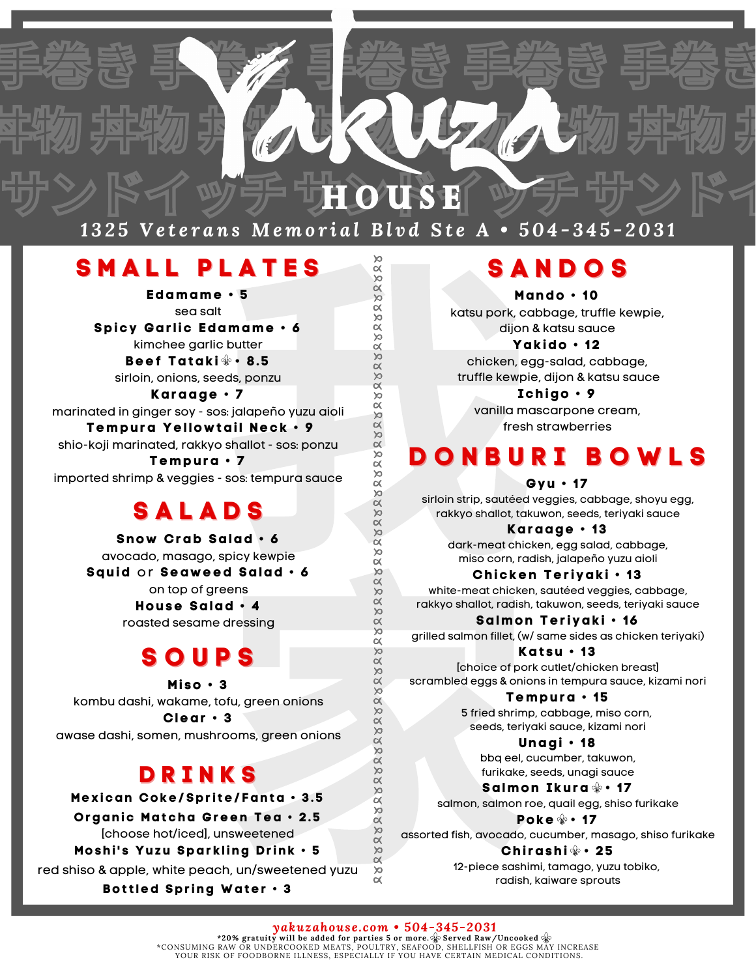# サンドイッチサousE ッチサンドイ

キ物 丼物 非物 非物 非物 非物 非物 非

手巻き 事業を 事巻き 事巻き

<u> 1325 Veterans Memorial Blvd Ste A • 504-345-2031</u>

### **S M A L L P L A T E S**

**Edamame • 5** sea salt **Spicy Gar l ic Edamame • 6** kimchee garlic butter **Beef Tatak i • 8. 5** sirloin, onions, seeds, ponzu

**EXERCISES**<br> **EXERCISES**<br> **EXERCISES**<br> **EXERCISES**<br> **EXERCISES**<br> **EXERCISES**<br> **EXERCISES**<br> **EXERCISES**<br> **EXERCISE AND INCONSIDER CONSISTING THE REVIS OF SANGE CONSISTION OF SANGE CONSIDER.<br>
<b>PS**<br> **EXERCISE AND INCONSIDER Karaage • 7** marinated in ginger soy - sos: jalapeño yuzu aioli **Tempura Y el lo w tai l Neck • 9** shio-koji marinated, rakkyo shallot - sos: ponzu **Tempura • 7** imported shrimp & veggies - sos: tempura sauce

### **S A L A D S**

d salad • 6<br>
Machine Machine Machine Machine Machine Machine Machine Machine Machine Machine Machine Machine Machine Machine Machine Machine Machine Machine Machine Machine Machine Machine Machine Machine Machine Machine M **Sno w Crab Salad • 6** avocado, masago, spicy kewpie **Squid** or **Sea w eed Salad • 6** on top of greens **House Salad • 4** roasted sesame dressing

## **S O U P S**

**Mi so • 3** kombu dashi, wakame, tofu, green onions **Clear • 3**

awase dashi, somen, mushrooms, green onions

### **D R I N K S**

**M ex ican Coke/Spr i te/ Fanta • 3 . 5**

**O rganic M atcha Green Tea • 2 . 5**

[choose hot/iced], unsweetened

**M oshi ' s Y uzu Spar k l ing D r ink • 5**

red shiso & apple, white peach, un/sweetened yuzu

**Bot t led Spr ing Water • 3**

### **S A N D O S**

**Mando • 10** katsu pork, cabbage, truffle kewpie, dijon & katsu sauce

**Y ak ido • 12** chicken, egg-salad, cabbage, truffle kewpie, dijon & katsu sauce

**Ichigo • 9** vanilla mascarpone cream, fresh strawberries

# **D O N B U R I B O W L S**

#### **Gyu • 17**

sirloin strip, sautéed veggies, cabbage, shoyu egg, rakkyo shallot, takuwon, seeds, teriyaki sauce

**Karaage • 1 3**

dark-meat chicken, egg salad, cabbage, miso corn, radish, jalapeño yuzu aioli

**Chicken Ter i yak i • 1 3**

white-meat chicken, sautéed veggies, cabbage, rakkyo shallot, radish, takuwon, seeds, teriyaki sauce

**Salmon Ter i yak i • 16** grilled salmon fillet, (w/ same sides as chicken teriyaki)

**Kat su • 1 3** [choice of pork cutlet/chicken breast] scrambled eggs & onions in tempura sauce, kizami nori

> **Tempura • 1 5** 5 fried shrimp, cabbage, miso corn, seeds, teriyaki sauce, kizami nori

> > **Unagi • 18** bbq eel, cucumber, takuwon, furikake, seeds, unagi sauce

**Salmon I kura • 17**

salmon, salmon roe, quail egg, shiso furikake **Poke • 17**

assorted fish, avocado, cucumber, masago, shiso furikake

**Chi rashi • 25**

12-piece sashimi, tamago, yuzu tobiko, radish, kaiware sprouts

*yakuzahouse.com • 504-345-2031* **\*20% gratuity will be added for parties 5 or more. Served Raw/Uncooked** \*CONSUMING RAW OR UNDERCOOKED MEATS, POULTRY, SEAFOOD, SHELLFISH OR EGGS MAY INCREASE YOUR RISK OF FOODBORNE ILLNESS, ESPECIALLY IF YOU HAVE CERTAIN MEDICAL CONDITIONS.